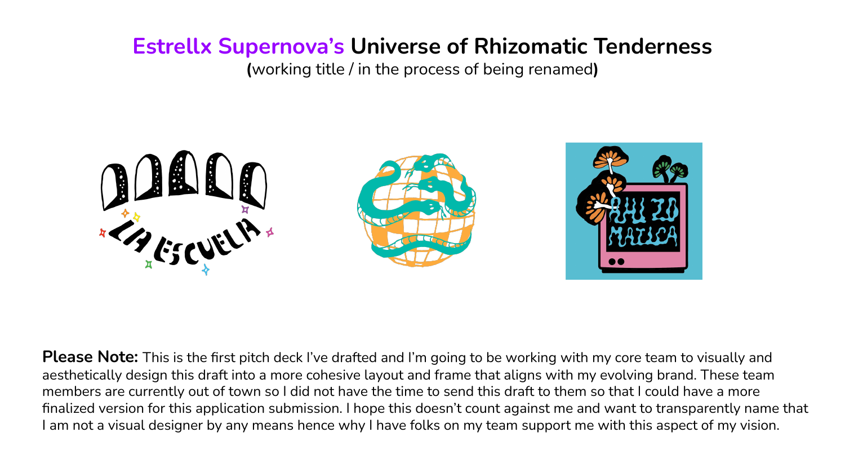## **Estrellx Supernova's Universe of Rhizomatic Tenderness**

**(**working title / in the process of being renamed**)**



**Please Note:** This is the first pitch deck I've drafted and I'm going to be working with my core team to visually and aesthetically design this draft into a more cohesive layout and frame that aligns with my evolving brand. These team members are currently out of town so I did not have the time to send this draft to them so that I could have a more finalized version for this application submission. I hope this doesn't count against me and want to transparently name that I am not a visual designer by any means hence why I have folks on my team support me with this aspect of my vision.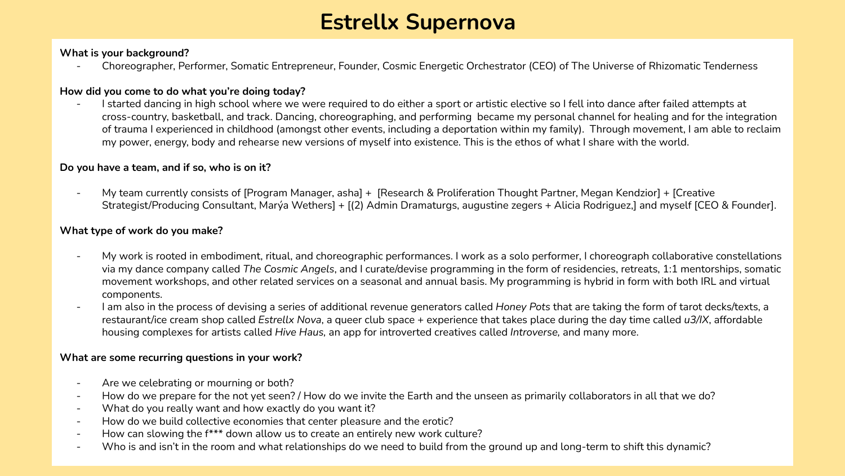# **Estrellx Supernova**

#### **What is your background?**

- Choreographer, Performer, Somatic Entrepreneur, Founder, Cosmic Energetic Orchestrator (CEO) of The Universe of Rhizomatic Tenderness

#### **How did you come to do what you're doing today?**

I started dancing in high school where we were required to do either a sport or artistic elective so I fell into dance after failed attempts at cross-country, basketball, and track. Dancing, choreographing, and performing became my personal channel for healing and for the integration of trauma I experienced in childhood (amongst other events, including a deportation within my family). Through movement, I am able to reclaim my power, energy, body and rehearse new versions of myself into existence. This is the ethos of what I share with the world.

#### **Do you have a team, and if so, who is on it?**

My team currently consists of [Program Manager, asha] + [Research & Proliferation Thought Partner, Megan Kendzior] + [Creative Strategist/Producing Consultant, Marýa Wethers] + [(2) Admin Dramaturgs, augustine zegers + Alicia Rodriguez,] and myself [CEO & Founder].

#### **What type of work do you make?**

- My work is rooted in embodiment, ritual, and choreographic performances. I work as a solo performer, I choreograph collaborative constellations via my dance company called *The Cosmic Angels*, and I curate/devise programming in the form of residencies, retreats, 1:1 mentorships, somatic movement workshops, and other related services on a seasonal and annual basis. My programming is hybrid in form with both IRL and virtual components.
- I am also in the process of devising a series of additional revenue generators called *Honey Pots* that are taking the form of tarot decks/texts, a restaurant/ice cream shop called *Estrellx Nova*, a queer club space + experience that takes place during the day time called *u3/IX*, affordable housing complexes for artists called *Hive Haus,* an app for introverted creatives called *Introverse,* and many more.

#### **What are some recurring questions in your work?**

- Are we celebrating or mourning or both?
- How do we prepare for the not yet seen? / How do we invite the Earth and the unseen as primarily collaborators in all that we do?
- What do you really want and how exactly do you want it?
- How do we build collective economies that center pleasure and the erotic?
- How can slowing the f\*\*\* down allow us to create an entirely new work culture?
- Who is and isn't in the room and what relationships do we need to build from the ground up and long-term to shift this dynamic?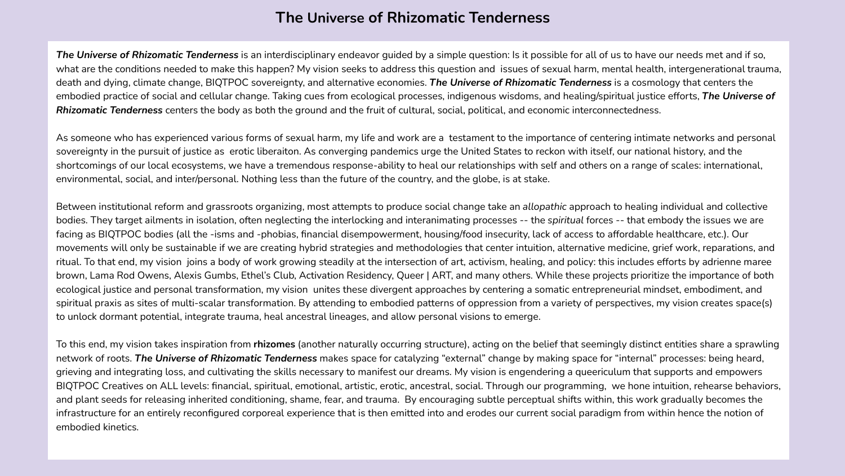### **The Universe of Rhizomatic Tenderness**

*The Universe of Rhizomatic Tenderness* is an interdisciplinary endeavor guided by a simple question: Is it possible for all of us to have our needs met and if so, what are the conditions needed to make this happen? My vision seeks to address this question and issues of sexual harm, mental health, intergenerational trauma, death and dying, climate change, BIQTPOC sovereignty, and alternative economies. *The Universe of Rhizomatic Tenderness* is a cosmology that centers the embodied practice of social and cellular change. Taking cues from ecological processes, indigenous wisdoms, and healing/spiritual justice efforts, *The Universe of Rhizomatic Tenderness* centers the body as both the ground and the fruit of cultural, social, political, and economic interconnectedness.

As someone who has experienced various forms of sexual harm, my life and work are a testament to the importance of centering intimate networks and personal sovereignty in the pursuit of justice as erotic liberaiton. As converging pandemics urge the United States to reckon with itself, our national history, and the shortcomings of our local ecosystems, we have a tremendous response-ability to heal our relationships with self and others on a range of scales: international, environmental, social, and inter/personal. Nothing less than the future of the country, and the globe, is at stake.

Between institutional reform and grassroots organizing, most attempts to produce social change take an *allopathic* approach to healing individual and collective bodies. They target ailments in isolation, often neglecting the interlocking and interanimating processes -- the *spiritual* forces -- that embody the issues we are facing as BIQTPOC bodies (all the -isms and -phobias, financial disempowerment, housing/food insecurity, lack of access to affordable healthcare, etc.). Our movements will only be sustainable if we are creating hybrid strategies and methodologies that center intuition, alternative medicine, grief work, reparations, and ritual. To that end, my vision joins a body of work growing steadily at the intersection of art, activism, healing, and policy: this includes efforts by adrienne maree brown, Lama Rod Owens, Alexis Gumbs, Ethel's Club, Activation Residency, Queer | ART, and many others. While these projects prioritize the importance of both ecological justice and personal transformation, my vision unites these divergent approaches by centering a somatic entrepreneurial mindset, embodiment, and spiritual praxis as sites of multi-scalar transformation. By attending to embodied patterns of oppression from a variety of perspectives, my vision creates space(s) to unlock dormant potential, integrate trauma, heal ancestral lineages, and allow personal visions to emerge.

To this end, my vision takes inspiration from **rhizomes** (another naturally occurring structure), acting on the belief that seemingly distinct entities share a sprawling network of roots. *The Universe of Rhizomatic Tenderness* makes space for catalyzing "external" change by making space for "internal" processes: being heard, grieving and integrating loss, and cultivating the skills necessary to manifest our dreams. My vision is engendering a queericulum that supports and empowers BIQTPOC Creatives on ALL levels: financial, spiritual, emotional, artistic, erotic, ancestral, social. Through our programming, we hone intuition, rehearse behaviors, and plant seeds for releasing inherited conditioning, shame, fear, and trauma. By encouraging subtle perceptual shifts within, this work gradually becomes the infrastructure for an entirely reconfigured corporeal experience that is then emitted into and erodes our current social paradigm from within hence the notion of embodied kinetics.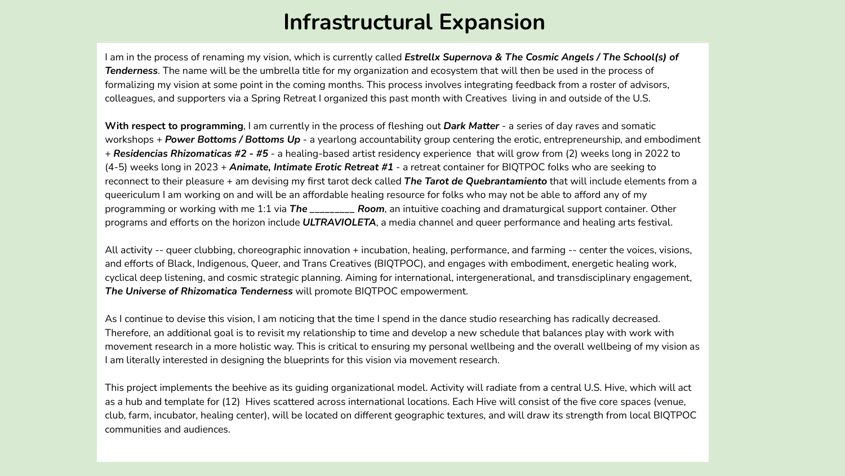## **Infrastructural Expansion**

I am in the process of renaming my vision, which is currently called *Estrellx Supernova & The Cosmic Angels / The School(s) of Tenderness*. The name will be the umbrella title for my organization and ecosystem that will then be used in the process of formalizing my vision at some point in the coming months. This process involves integrating feedback from a roster of advisors, colleagues, and supporters via a Spring Retreat I organized this past month with Creatives living in and outside of the U.S.

**With respect to programming**, I am currently in the process of fleshing out *Dark Matter* - a series of day raves and somatic workshops + *Power Bottoms / Bottoms Up* - a yearlong accountability group centering the erotic, entrepreneurship, and embodiment + *Residencias Rhizomaticas #2 - #5* - a healing-based artist residency experience that will grow from (2) weeks long in 2022 to (4-5) weeks long in 2023 + *Animate, Intimate Erotic Retreat #1* - a retreat container for BIQTPOC folks who are seeking to reconnect to their pleasure + am devising my first tarot deck called *The Tarot de Quebrantamiento* that will include elements from a queericulum I am working on and will be an affordable healing resource for folks who may not be able to afford any of my programming or working with me 1:1 via *The \_\_\_\_\_\_\_\_\_ Room*, an intuitive coaching and dramaturgical support container. Other programs and efforts on the horizon include *ULTRAVIOLETA*, a media channel and queer performance and healing arts festival.

All activity -- queer clubbing, choreographic innovation + incubation, healing, performance, and farming -- center the voices, visions, and efforts of Black, Indigenous, Queer, and Trans Creatives (BIQTPOC), and engages with embodiment, energetic healing work, cyclical deep listening, and cosmic strategic planning. Aiming for international, intergenerational, and transdisciplinary engagement, *The Universe of Rhizomatica Tenderness* will promote BIQTPOC empowerment.

As I continue to devise this vision, I am noticing that the time I spend in the dance studio researching has radically decreased. Therefore, an additional goal is to revisit my relationship to time and develop a new schedule that balances play with work with movement research in a more holistic way. This is critical to ensuring my personal wellbeing and the overall wellbeing of my vision as I am literally interested in designing the blueprints for this vision via movement research.

This project implements the beehive as its guiding organizational model. Activity will radiate from a central U.S. Hive, which will act as a hub and template for (12) Hives scattered across international locations. Each Hive will consist of the five core spaces (venue, club, farm, incubator, healing center), will be located on different geographic textures, and will draw its strength from local BIQTPOC communities and audiences.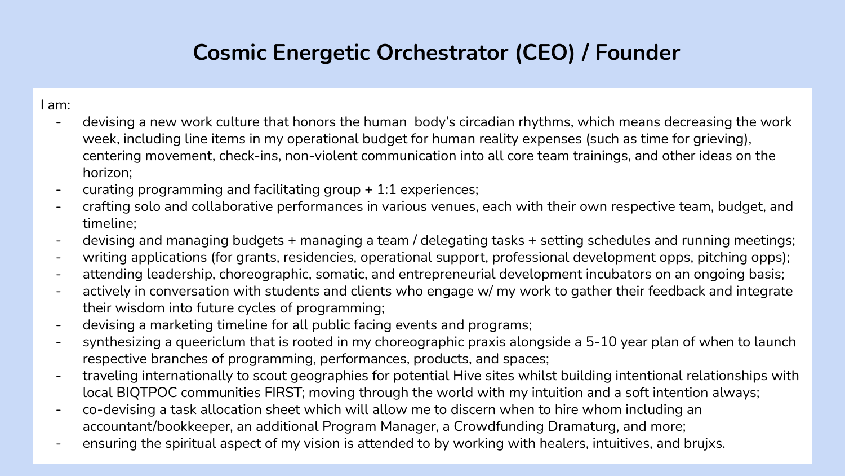# **Cosmic Energetic Orchestrator (CEO) / Founder**

#### I am:

- devising a new work culture that honors the human body's circadian rhythms, which means decreasing the work week, including line items in my operational budget for human reality expenses (such as time for grieving), centering movement, check-ins, non-violent communication into all core team trainings, and other ideas on the horizon;
- curating programming and facilitating group  $+ 1:1$  experiences;
- crafting solo and collaborative performances in various venues, each with their own respective team, budget, and timeline;
- devising and managing budgets + managing a team / delegating tasks + setting schedules and running meetings;
- writing applications (for grants, residencies, operational support, professional development opps, pitching opps);
- attending leadership, choreographic, somatic, and entrepreneurial development incubators on an ongoing basis;
- actively in conversation with students and clients who engage w/ my work to gather their feedback and integrate their wisdom into future cycles of programming;
- devising a marketing timeline for all public facing events and programs;
- synthesizing a queericlum that is rooted in my choreographic praxis alongside a 5-10 year plan of when to launch respective branches of programming, performances, products, and spaces;
- traveling internationally to scout geographies for potential Hive sites whilst building intentional relationships with local BIQTPOC communities FIRST; moving through the world with my intuition and a soft intention always;
- co-devising a task allocation sheet which will allow me to discern when to hire whom including an accountant/bookkeeper, an additional Program Manager, a Crowdfunding Dramaturg, and more;
- ensuring the spiritual aspect of my vision is attended to by working with healers, intuitives, and bruixs.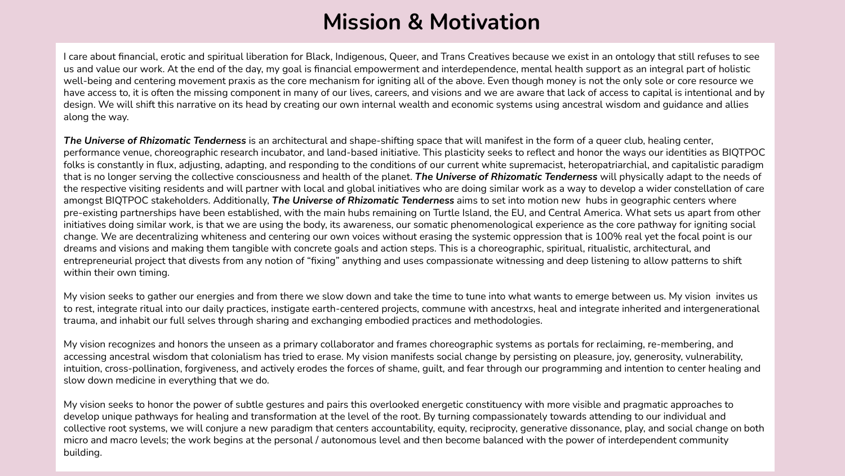## **Mission & Motivation**

I care about financial, erotic and spiritual liberation for Black, Indigenous, Queer, and Trans Creatives because we exist in an ontology that still refuses to see us and value our work. At the end of the day, my goal is financial empowerment and interdependence, mental health support as an integral part of holistic well-being and centering movement praxis as the core mechanism for igniting all of the above. Even though money is not the only sole or core resource we have access to, it is often the missing component in many of our lives, careers, and visions and we are aware that lack of access to capital is intentional and by design. We will shift this narrative on its head by creating our own internal wealth and economic systems using ancestral wisdom and guidance and allies along the way.

*The Universe of Rhizomatic Tenderness* is an architectural and shape-shifting space that will manifest in the form of a queer club, healing center, performance venue, choreographic research incubator, and land-based initiative. This plasticity seeks to reflect and honor the ways our identities as BIQTPOC folks is constantly in flux, adjusting, adapting, and responding to the conditions of our current white supremacist, heteropatriarchial, and capitalistic paradigm that is no longer serving the collective consciousness and health of the planet. *The Universe of Rhizomatic Tenderness* will physically adapt to the needs of the respective visiting residents and will partner with local and global initiatives who are doing similar work as a way to develop a wider constellation of care amongst BIQTPOC stakeholders. Additionally, *The Universe of Rhizomatic Tenderness* aims to set into motion new hubs in geographic centers where pre-existing partnerships have been established, with the main hubs remaining on Turtle Island, the EU, and Central America. What sets us apart from other initiatives doing similar work, is that we are using the body, its awareness, our somatic phenomenological experience as the core pathway for igniting social change. We are decentralizing whiteness and centering our own voices without erasing the systemic oppression that is 100% real yet the focal point is our dreams and visions and making them tangible with concrete goals and action steps. This is a choreographic, spiritual, ritualistic, architectural, and entrepreneurial project that divests from any notion of "fixing" anything and uses compassionate witnessing and deep listening to allow patterns to shift within their own timing.

My vision seeks to gather our energies and from there we slow down and take the time to tune into what wants to emerge between us. My vision invites us to rest, integrate ritual into our daily practices, instigate earth-centered projects, commune with ancestrxs, heal and integrate inherited and intergenerational trauma, and inhabit our full selves through sharing and exchanging embodied practices and methodologies.

My vision recognizes and honors the unseen as a primary collaborator and frames choreographic systems as portals for reclaiming, re-membering, and accessing ancestral wisdom that colonialism has tried to erase. My vision manifests social change by persisting on pleasure, joy, generosity, vulnerability, intuition, cross-pollination, forgiveness, and actively erodes the forces of shame, guilt, and fear through our programming and intention to center healing and slow down medicine in everything that we do.

My vision seeks to honor the power of subtle gestures and pairs this overlooked energetic constituency with more visible and pragmatic approaches to develop unique pathways for healing and transformation at the level of the root. By turning compassionately towards attending to our individual and collective root systems, we will conjure a new paradigm that centers accountability, equity, reciprocity, generative dissonance, play, and social change on both micro and macro levels; the work begins at the personal / autonomous level and then become balanced with the power of interdependent community building.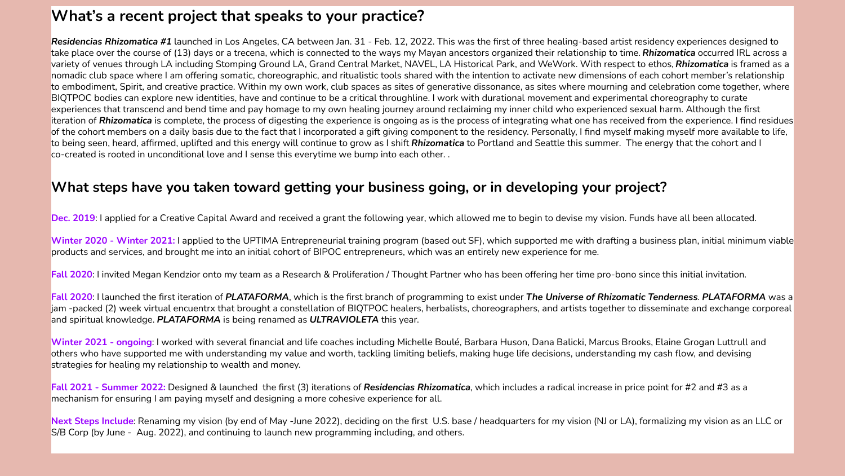### **What's a recent project that speaks to your practice?**

*Residencias Rhizomatica #1* launched in Los Angeles, CA between Jan. 31 - Feb. 12, 2022. This was the first of three healing-based artist residency experiences designed to take place over the course of (13) days or a trecena, which is connected to the ways my Mayan ancestors organized their relationship to time. *Rhizomatica* occurred IRL across a variety of venues through LA including Stomping Ground LA, Grand Central Market, NAVEL, LA Historical Park, and WeWork. With respect to ethos, *Rhizomatica* is framed as a nomadic club space where I am offering somatic, choreographic, and ritualistic tools shared with the intention to activate new dimensions of each cohort member's relationship to embodiment, Spirit, and creative practice. Within my own work, club spaces as sites of generative dissonance, as sites where mourning and celebration come together, where BIQTPOC bodies can explore new identities, have and continue to be a critical throughline. I work with durational movement and experimental choreography to curate experiences that transcend and bend time and pay homage to my own healing journey around reclaiming my inner child who experienced sexual harm. Although the first iteration of *Rhizomatica* is complete, the process of digesting the experience is ongoing as is the process of integrating what one has received from the experience. I find residues of the cohort members on a daily basis due to the fact that I incorporated a gift giving component to the residency. Personally, I find myself making myself more available to life, to being seen, heard, affirmed, uplifted and this energy will continue to grow as I shift *Rhizomatica* to Portland and Seattle this summer. The energy that the cohort and I co-created is rooted in unconditional love and I sense this everytime we bump into each other. .

#### **What steps have you taken toward getting your business going, or in developing your project?**

**Dec. 2019**: I applied for a Creative Capital Award and received a grant the following year, which allowed me to begin to devise my vision. Funds have all been allocated.

**Winter 2020 - Winter 2021:** I applied to the UPTIMA Entrepreneurial training program (based out SF), which supported me with drafting a business plan, initial minimum viable products and services, and brought me into an initial cohort of BIPOC entrepreneurs, which was an entirely new experience for me.

**Fall 2020**: I invited Megan Kendzior onto my team as a Research & Proliferation / Thought Partner who has been offering her time pro-bono since this initial invitation.

**Fall 2020**: I launched the first iteration of *PLATAFORMA*, which is the first branch of programming to exist under *The Universe of Rhizomatic Tenderness*. *PLATAFORMA* was a jam -packed (2) week virtual encuentrx that brought a constellation of BIQTPOC healers, herbalists, choreographers, and artists together to disseminate and exchange corporeal and spiritual knowledge. *PLATAFORMA* is being renamed as *ULTRAVIOLETA* this year.

**Winter 2021 - ongoing**: I worked with several financial and life coaches including Michelle Boulé, Barbara Huson, Dana Balicki, Marcus Brooks, Elaine Grogan Luttrull and others who have supported me with understanding my value and worth, tackling limiting beliefs, making huge life decisions, understanding my cash flow, and devising strategies for healing my relationship to wealth and money.

**Fall 2021 - Summer 2022:** Designed & launched the first (3) iterations of *Residencias Rhizomatica*, which includes a radical increase in price point for #2 and #3 as a mechanism for ensuring I am paying myself and designing a more cohesive experience for all.

Next Steps Include: Renaming my vision (by end of May -June 2022), deciding on the first U.S. base / headquarters for my vision (NJ or LA), formalizing my vision as an LLC or S/B Corp (by June - Aug. 2022), and continuing to launch new programming including, and others.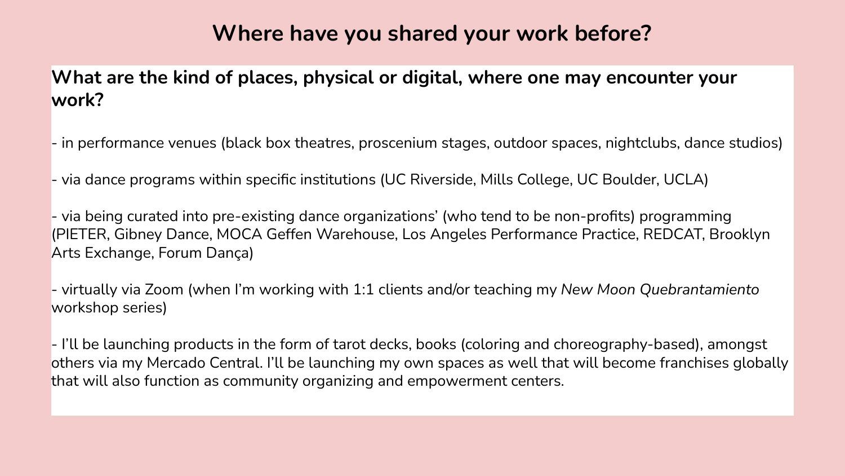## **Where have you shared your work before?**

**What are the kind of places, physical or digital, where one may encounter your work?** 

- in performance venues (black box theatres, proscenium stages, outdoor spaces, nightclubs, dance studios)

- via dance programs within specific institutions (UC Riverside, Mills College, UC Boulder, UCLA)

- via being curated into pre-existing dance organizations' (who tend to be non-profits) programming (PIETER, Gibney Dance, MOCA Geffen Warehouse, Los Angeles Performance Practice, REDCAT, Brooklyn Arts Exchange, Forum Dança)

- virtually via Zoom (when I'm working with 1:1 clients and/or teaching my *New Moon Quebrantamiento*  workshop series)

- I'll be launching products in the form of tarot decks, books (coloring and choreography-based), amongst others via my Mercado Central. I'll be launching my own spaces as well that will become franchises globally that will also function as community organizing and empowerment centers.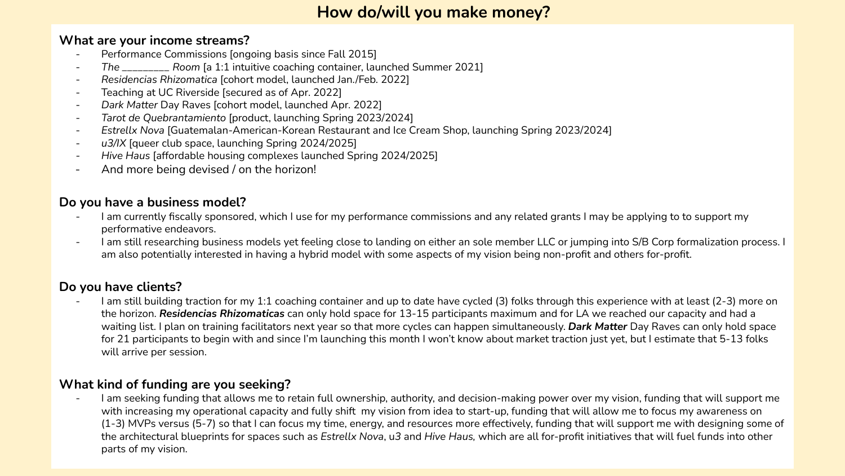### **How do/will you make money?**

#### **What are your income streams?**

- Performance Commissions [ongoing basis since Fall 2015]
- *The \_\_\_\_\_\_\_\_\_ Room* [a 1:1 intuitive coaching container, launched Summer 2021]
- *Residencias Rhizomatica* [cohort model, launched Jan./Feb. 2022]
- Teaching at UC Riverside [secured as of Apr. 2022]
- *Dark Matter* Day Raves [cohort model, launched Apr. 2022]
- *Tarot de Quebrantamiento* [product, launching Spring 2023/2024]
- *Estrellx Nova* [Guatemalan-American-Korean Restaurant and Ice Cream Shop, launching Spring 2023/2024]
- u3/IX [queer club space, launching Spring 2024/2025]
- *- Hive Haus* [affordable housing complexes launched Spring 2024/2025]
- And more being devised / on the horizon!

### **Do you have a business model?**

- I am currently fiscally sponsored, which I use for my performance commissions and any related grants I may be applying to to support my performative endeavors.
- I am still researching business models yet feeling close to landing on either an sole member LLC or jumping into S/B Corp formalization process. I am also potentially interested in having a hybrid model with some aspects of my vision being non-profit and others for-profit.

### **Do you have clients?**

I am still building traction for my 1:1 coaching container and up to date have cycled (3) folks through this experience with at least (2-3) more on the horizon. *Residencias Rhizomaticas* can only hold space for 13-15 participants maximum and for LA we reached our capacity and had a waiting list. I plan on training facilitators next year so that more cycles can happen simultaneously. *Dark Matter* Day Raves can only hold space for 21 participants to begin with and since I'm launching this month I won't know about market traction just yet, but I estimate that 5-13 folks will arrive per session.

### **What kind of funding are you seeking?**

I am seeking funding that allows me to retain full ownership, authority, and decision-making power over my vision, funding that will support me with increasing my operational capacity and fully shift my vision from idea to start-up, funding that will allow me to focus my awareness on (1-3) MVPs versus (5-7) so that I can focus my time, energy, and resources more effectively, funding that will support me with designing some of the architectural blueprints for spaces such as *Estrellx Nova*, u*3* and *Hive Haus,* which are all for-profit initiatives that will fuel funds into other parts of my vision.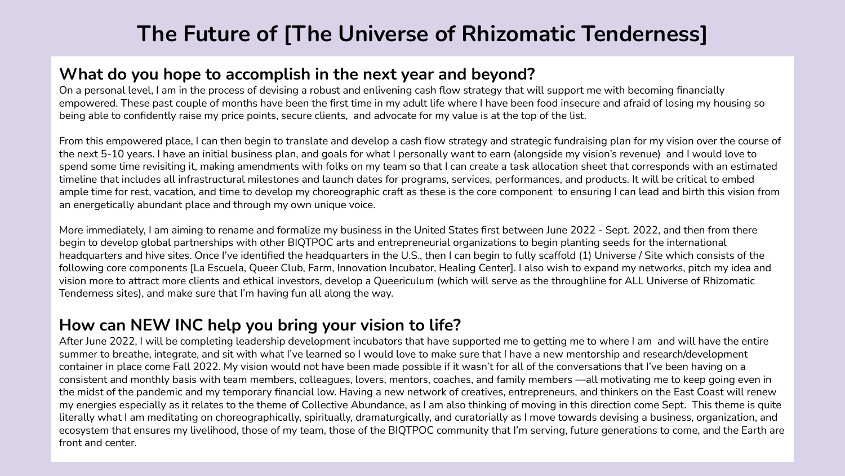# **The Future of [The Universe of Rhizomatic Tenderness]**

### **What do you hope to accomplish in the next year and beyond?**

On a personal level, I am in the process of devising a robust and enlivening cash flow strategy that will support me with becoming financially empowered. These past couple of months have been the first time in my adult life where I have been food insecure and afraid of losing my housing so being able to confidently raise my price points, secure clients, and advocate for my value is at the top of the list.

From this empowered place, I can then begin to translate and develop a cash flow strategy and strategic fundraising plan for my vision over the course of the next 5-10 years. I have an initial business plan, and goals for what I personally want to earn (alongside my vision's revenue) and I would love to spend some time revisiting it, making amendments with folks on my team so that I can create a task allocation sheet that corresponds with an estimated timeline that includes all infrastructural milestones and launch dates for programs, services, performances, and products. It will be critical to embed ample time for rest, vacation, and time to develop my choreographic craft as these is the core component to ensuring I can lead and birth this vision from an energetically abundant place and through my own unique voice.

More immediately, I am aiming to rename and formalize my business in the United States first between June 2022 - Sept. 2022, and then from there begin to develop global partnerships with other BIQTPOC arts and entrepreneurial organizations to begin planting seeds for the international headquarters and hive sites. Once I've identified the headquarters in the U.S., then I can begin to fully scaffold (1) Universe / Site which consists of the following core components [La Escuela, Queer Club, Farm, Innovation Incubator, Healing Center]. I also wish to expand my networks, pitch my idea and vision more to attract more clients and ethical investors, develop a Queericulum (which will serve as the throughline for ALL Universe of Rhizomatic Tenderness sites), and make sure that I'm having fun all along the way.

## **How can NEW INC help you bring your vision to life?**

After June 2022, I will be completing leadership development incubators that have supported me to getting me to where I am and will have the entire summer to breathe, integrate, and sit with what I've learned so I would love to make sure that I have a new mentorship and research/development container in place come Fall 2022. My vision would not have been made possible if it wasn't for all of the conversations that I've been having on a consistent and monthly basis with team members, colleagues, lovers, mentors, coaches, and family members —all motivating me to keep going even in the midst of the pandemic and my temporary financial low. Having a new network of creatives, entrepreneurs, and thinkers on the East Coast will renew my energies especially as it relates to the theme of Collective Abundance, as I am also thinking of moving in this direction come Sept. This theme is quite literally what I am meditating on choreographically, spiritually, dramaturgically, and curatorially as I move towards devising a business, organization, and ecosystem that ensures my livelihood, those of my team, those of the BIQTPOC community that I'm serving, future generations to come, and the Earth are front and center.